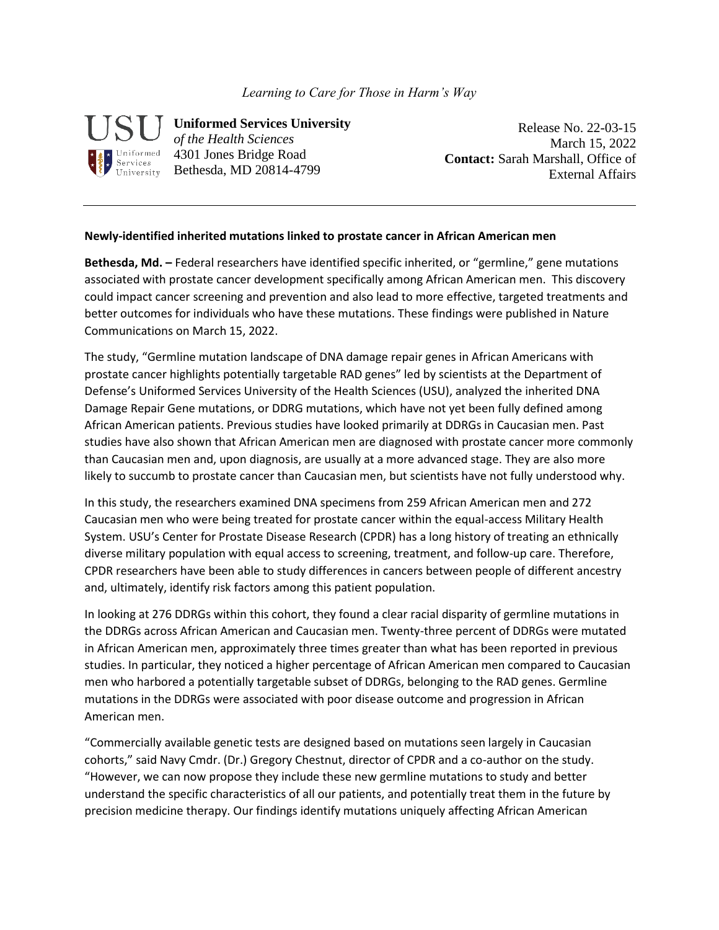## *Learning to Care for Those in Harm's Way*



**Uniformed Services University**  *of the Health Sciences*  4301 Jones Bridge Road Bethesda, MD 20814-4799

Release No. 22-03-15 March 15, 2022 **Contact:** Sarah Marshall, Office of External Affairs

## **Newly-identified inherited mutations linked to prostate cancer in African American men**

**Bethesda, Md. –** Federal researchers have identified specific inherited, or "germline," gene mutations associated with prostate cancer development specifically among African American men. This discovery could impact cancer screening and prevention and also lead to more effective, targeted treatments and better outcomes for individuals who have these mutations. These findings were published in Nature Communications on March 15, 2022.

The study, "Germline mutation landscape of DNA damage repair genes in African Americans with prostate cancer highlights potentially targetable RAD genes" led by scientists at the Department of Defense's Uniformed Services University of the Health Sciences (USU), analyzed the inherited DNA Damage Repair Gene mutations, or DDRG mutations, which have not yet been fully defined among African American patients. Previous studies have looked primarily at DDRGs in Caucasian men. Past studies have also shown that African American men are diagnosed with prostate cancer more commonly than Caucasian men and, upon diagnosis, are usually at a more advanced stage. They are also more likely to succumb to prostate cancer than Caucasian men, but scientists have not fully understood why.

In this study, the researchers examined DNA specimens from 259 African American men and 272 Caucasian men who were being treated for prostate cancer within the equal-access Military Health System. USU's Center for Prostate Disease Research (CPDR) has a long history of treating an ethnically diverse military population with equal access to screening, treatment, and follow-up care. Therefore, CPDR researchers have been able to study differences in cancers between people of different ancestry and, ultimately, identify risk factors among this patient population.

In looking at 276 DDRGs within this cohort, they found a clear racial disparity of germline mutations in the DDRGs across African American and Caucasian men. Twenty-three percent of DDRGs were mutated in African American men, approximately three times greater than what has been reported in previous studies. In particular, they noticed a higher percentage of African American men compared to Caucasian men who harbored a potentially targetable subset of DDRGs, belonging to the RAD genes. Germline mutations in the DDRGs were associated with poor disease outcome and progression in African American men.

"Commercially available genetic tests are designed based on mutations seen largely in Caucasian cohorts," said Navy Cmdr. (Dr.) Gregory Chestnut, director of CPDR and a co-author on the study. "However, we can now propose they include these new germline mutations to study and better understand the specific characteristics of all our patients, and potentially treat them in the future by precision medicine therapy. Our findings identify mutations uniquely affecting African American